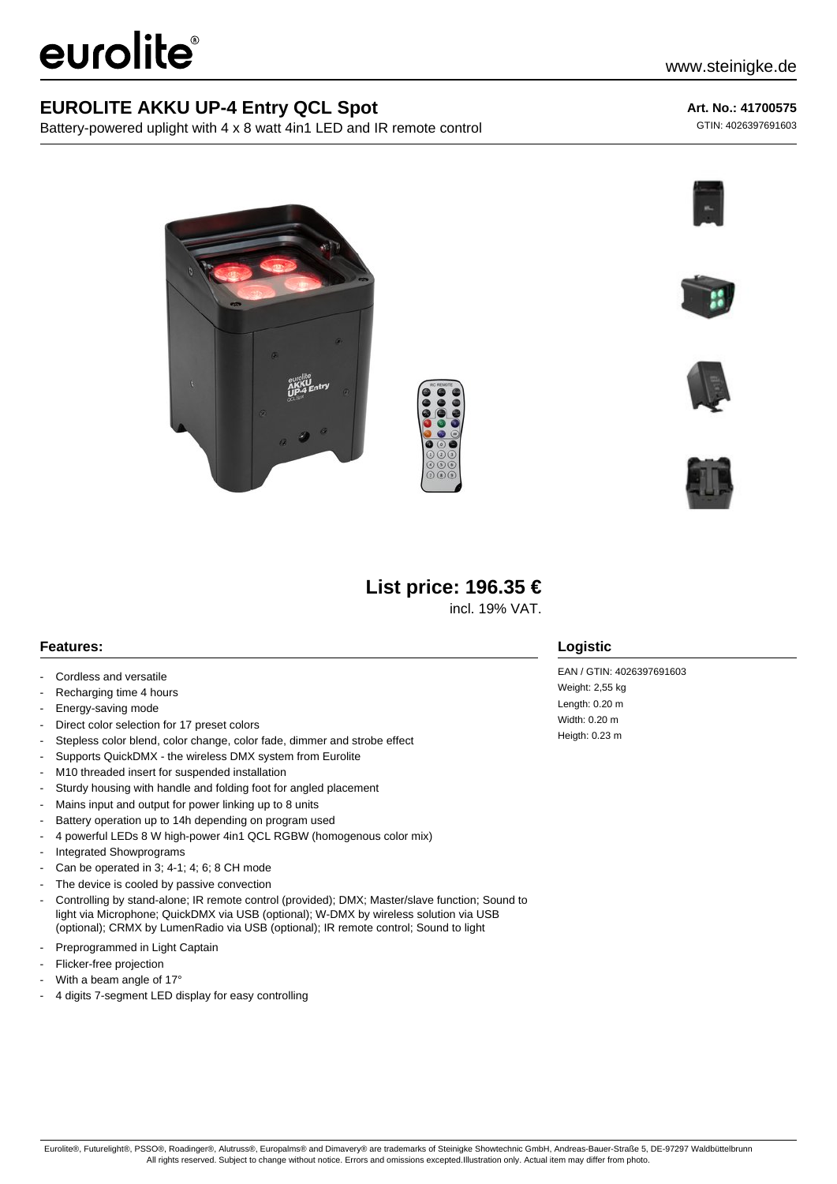# eurolite®

## **EUROLITE AKKU UP-4 Entry QCL Spot**

Battery-powered uplight with 4 x 8 watt 4in1 LED and IR remote control

#### **Art. No.: 41700575**

GTIN: 4026397691603











# **List price: 196.35 €**

incl. 19% VAT.

### **Features:**

- Cordless and versatile
- Recharging time 4 hours
- Energy-saving mode
- Direct color selection for 17 preset colors
- Stepless color blend, color change, color fade, dimmer and strobe effect
- Supports QuickDMX the wireless DMX system from Eurolite
- M10 threaded insert for suspended installation
- Sturdy housing with handle and folding foot for angled placement
- Mains input and output for power linking up to 8 units
- Battery operation up to 14h depending on program used
- 4 powerful LEDs 8 W high-power 4in1 QCL RGBW (homogenous color mix)
- Integrated Showprograms
- Can be operated in 3; 4-1; 4; 6; 8 CH mode
- The device is cooled by passive convection
- Controlling by stand-alone; IR remote control (provided); DMX; Master/slave function; Sound to light via Microphone; QuickDMX via USB (optional); W-DMX by wireless solution via USB (optional); CRMX by LumenRadio via USB (optional); IR remote control; Sound to light
- Preprogrammed in Light Captain
- Flicker-free projection
- With a beam angle of  $17°$
- 4 digits 7-segment LED display for easy controlling

## **Logistic**

EAN / GTIN: 4026397691603 Weight: 2.55 kg Length: 0.20 m Width: 0.20 m Heigth: 0.23 m

Eurolite®, Futurelight®, PSSO®, Roadinger®, Alutruss®, Europalms® and Dimavery® are trademarks of Steinigke Showtechnic GmbH, Andreas-Bauer-Straße 5, DE-97297 Waldbüttelbrunn All rights reserved. Subject to change without notice. Errors and omissions excepted.Illustration only. Actual item may differ from photo.